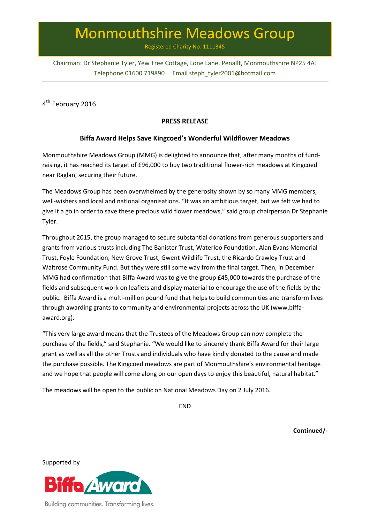# Monmouthshire Meadows Group

Registered Charity No. 1111345

Chairman: Dr Stephanie Tyler, Yew Tree Cottage, Lone Lane, Penallt, Monmouthshire NP25 4AJ Telephone 01600 719890 Email steph\_tyler2001@hotmail.com

4<sup>th</sup> February 2016

## **PRESS RELEASE**

## **Biffa Award Helps Save Kingcoed's Wonderful Wildflower Meadows**

Monmouthshire Meadows Group (MMG) is delighted to announce that, after many months of fundraising, it has reached its target of £96,000 to buy two traditional flower-rich meadows at Kingcoed near Raglan, securing their future.

The Meadows Group has been overwhelmed by the generosity shown by so many MMG members, well-wishers and local and national organisations. "It was an ambitious target, but we felt we had to give it a go in order to save these precious wild flower meadows," said group chairperson Dr Stephanie Tyler.

Throughout 2015, the group managed to secure substantial donations from generous supporters and grants from various trusts including The Banister Trust, Waterloo Foundation, Alan Evans Memorial Trust, Foyle Foundation, New Grove Trust, Gwent Wildlife Trust, the Ricardo Crawley Trust and Waitrose Community Fund. But they were still some way from the final target. Then, in December MMG had confirmation that Biffa Award was to give the group £45,000 towards the purchase of the fields and subsequent work on leaflets and display material to encourage the use of the fields by the public. Biffa Award is a multi-million pound fund that helps to build communities and transform lives through awarding grants to community and environmental projects across the UK (www.biffaaward.org).

"This very large award means that the Trustees of the Meadows Group can now complete the purchase of the fields," said Stephanie. "We would like to sincerely thank Biffa Award for their large grant as well as all the other Trusts and individuals who have kindly donated to the cause and made the purchase possible. The Kingcoed meadows are part of Monmouthshire's environmental heritage and we hope that people will come along on our open days to enjoy this beautiful, natural habitat."

The meadows will be open to the public on National Meadows Day on 2 July 2016.

END

**Continued/-**

Supported by



Building communities. Transforming lives.